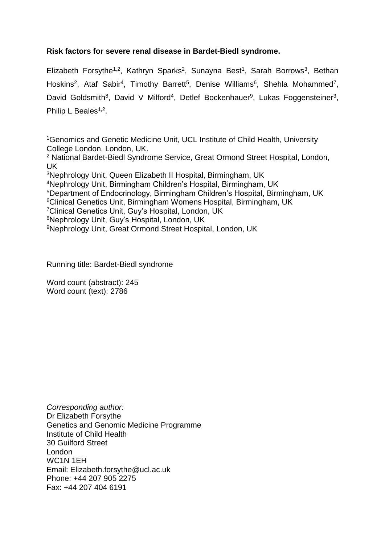# **Risk factors for severe renal disease in Bardet-Biedl syndrome.**

Elizabeth Forsythe<sup>1,2</sup>, Kathryn Sparks<sup>2</sup>, Sunayna Best<sup>1</sup>, Sarah Borrows<sup>3</sup>, Bethan Hoskins<sup>2</sup>, Ataf Sabir<sup>4</sup>, Timothy Barrett<sup>5</sup>, Denise Williams<sup>6</sup>, Shehla Mohammed<sup>7</sup>, David Goldsmith<sup>8</sup>, David V Milford<sup>4</sup>, Detlef Bockenhauer<sup>9</sup>, Lukas Foggensteiner<sup>3</sup>, Philip L Beales<sup>1,2</sup>.

<sup>1</sup>Genomics and Genetic Medicine Unit, UCL Institute of Child Health, University College London, London, UK.

<sup>2</sup> National Bardet-Biedl Syndrome Service, Great Ormond Street Hospital, London, UK

Nephrology Unit, Queen Elizabeth II Hospital, Birmingham, UK Nephrology Unit, Birmingham Children's Hospital, Birmingham, UK Department of Endocrinology, Birmingham Children's Hospital, Birmingham, UK Clinical Genetics Unit, Birmingham Womens Hospital, Birmingham, UK Clinical Genetics Unit, Guy's Hospital, London, UK Nephrology Unit, Guy's Hospital, London, UK Nephrology Unit, Great Ormond Street Hospital, London, UK

Running title: Bardet-Biedl syndrome

Word count (abstract): 245 Word count (text): 2786

*Corresponding author:* Dr Elizabeth Forsythe Genetics and Genomic Medicine Programme Institute of Child Health 30 Guilford Street London WC1N 1EH Email: Elizabeth.forsythe@ucl.ac.uk Phone: +44 207 905 2275 Fax: +44 207 404 6191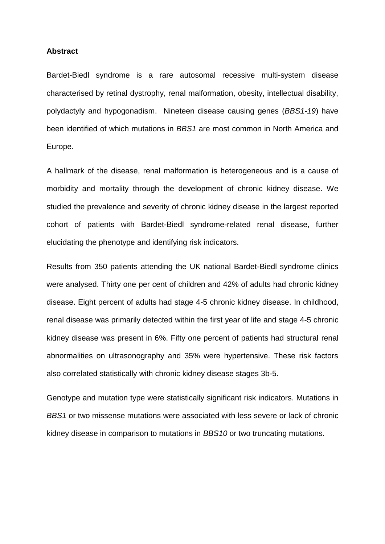#### **Abstract**

Bardet-Biedl syndrome is a rare autosomal recessive multi-system disease characterised by retinal dystrophy, renal malformation, obesity, intellectual disability, polydactyly and hypogonadism. Nineteen disease causing genes (*BBS1-19*) have been identified of which mutations in *BBS1* are most common in North America and Europe.

A hallmark of the disease, renal malformation is heterogeneous and is a cause of morbidity and mortality through the development of chronic kidney disease. We studied the prevalence and severity of chronic kidney disease in the largest reported cohort of patients with Bardet-Biedl syndrome-related renal disease, further elucidating the phenotype and identifying risk indicators.

Results from 350 patients attending the UK national Bardet-Biedl syndrome clinics were analysed. Thirty one per cent of children and 42% of adults had chronic kidney disease. Eight percent of adults had stage 4-5 chronic kidney disease. In childhood, renal disease was primarily detected within the first year of life and stage 4-5 chronic kidney disease was present in 6%. Fifty one percent of patients had structural renal abnormalities on ultrasonography and 35% were hypertensive. These risk factors also correlated statistically with chronic kidney disease stages 3b-5.

Genotype and mutation type were statistically significant risk indicators. Mutations in *BBS1* or two missense mutations were associated with less severe or lack of chronic kidney disease in comparison to mutations in *BBS10* or two truncating mutations.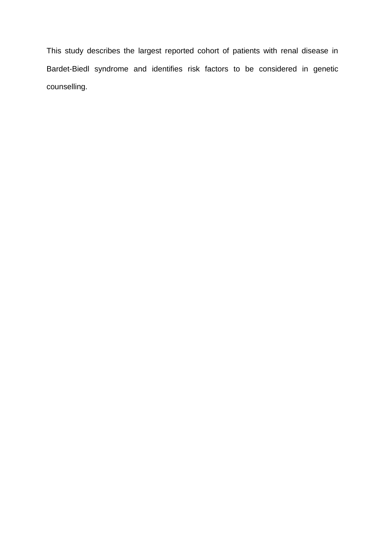This study describes the largest reported cohort of patients with renal disease in Bardet-Biedl syndrome and identifies risk factors to be considered in genetic counselling.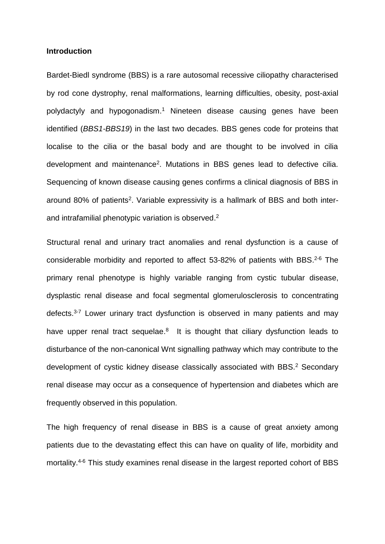### **Introduction**

Bardet-Biedl syndrome (BBS) is a rare autosomal recessive ciliopathy characterised by rod cone dystrophy, renal malformations, learning difficulties, obesity, post-axial polydactyly and hypogonadism. <sup>1</sup> Nineteen disease causing genes have been identified (*BBS1-BBS19*) in the last two decades. BBS genes code for proteins that localise to the cilia or the basal body and are thought to be involved in cilia development and maintenance<sup>2</sup>. Mutations in BBS genes lead to defective cilia. Sequencing of known disease causing genes confirms a clinical diagnosis of BBS in around 80% of patients<sup>2</sup>. Variable expressivity is a hallmark of BBS and both interand intrafamilial phenotypic variation is observed. 2

Structural renal and urinary tract anomalies and renal dysfunction is a cause of considerable morbidity and reported to affect 53-82% of patients with BBS. $2-6$  The primary renal phenotype is highly variable ranging from cystic tubular disease, dysplastic renal disease and focal segmental glomerulosclerosis to concentrating defects.<sup>3-7</sup> Lower urinary tract dysfunction is observed in many patients and may have upper renal tract sequelae.<sup>8</sup> It is thought that ciliary dysfunction leads to disturbance of the non-canonical Wnt signalling pathway which may contribute to the development of cystic kidney disease classically associated with BBS.<sup>2</sup> Secondary renal disease may occur as a consequence of hypertension and diabetes which are frequently observed in this population.

The high frequency of renal disease in BBS is a cause of great anxiety among patients due to the devastating effect this can have on quality of life, morbidity and mortality.<sup>4-6</sup> This study examines renal disease in the largest reported cohort of BBS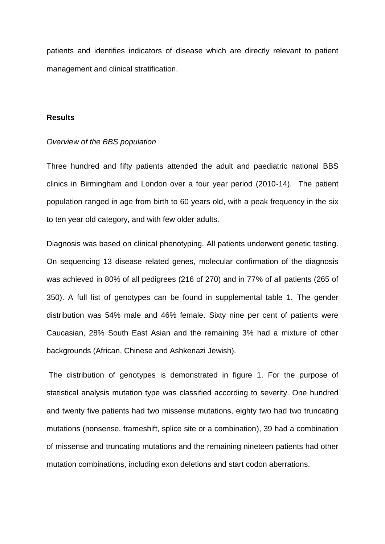patients and identifies indicators of disease which are directly relevant to patient management and clinical stratification.

## **Results**

#### *Overview of the BBS population*

Three hundred and fifty patients attended the adult and paediatric national BBS clinics in Birmingham and London over a four year period (2010-14). The patient population ranged in age from birth to 60 years old, with a peak frequency in the six to ten year old category, and with few older adults.

Diagnosis was based on clinical phenotyping. All patients underwent genetic testing. On sequencing 13 disease related genes, molecular confirmation of the diagnosis was achieved in 80% of all pedigrees (216 of 270) and in 77% of all patients (265 of 350). A full list of genotypes can be found in supplemental table 1. The gender distribution was 54% male and 46% female. Sixty nine per cent of patients were Caucasian, 28% South East Asian and the remaining 3% had a mixture of other backgrounds (African, Chinese and Ashkenazi Jewish).

The distribution of genotypes is demonstrated in figure 1. For the purpose of statistical analysis mutation type was classified according to severity. One hundred and twenty five patients had two missense mutations, eighty two had two truncating mutations (nonsense, frameshift, splice site or a combination), 39 had a combination of missense and truncating mutations and the remaining nineteen patients had other mutation combinations, including exon deletions and start codon aberrations.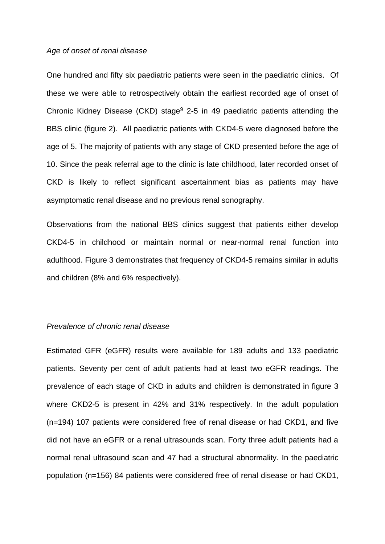#### *Age of onset of renal disease*

One hundred and fifty six paediatric patients were seen in the paediatric clinics. Of these we were able to retrospectively obtain the earliest recorded age of onset of Chronic Kidney Disease (CKD) stage<sup>9</sup> 2-5 in 49 paediatric patients attending the BBS clinic (figure 2). All paediatric patients with CKD4-5 were diagnosed before the age of 5. The majority of patients with any stage of CKD presented before the age of 10. Since the peak referral age to the clinic is late childhood, later recorded onset of CKD is likely to reflect significant ascertainment bias as patients may have asymptomatic renal disease and no previous renal sonography.

Observations from the national BBS clinics suggest that patients either develop CKD4-5 in childhood or maintain normal or near-normal renal function into adulthood. Figure 3 demonstrates that frequency of CKD4-5 remains similar in adults and children (8% and 6% respectively).

## *Prevalence of chronic renal disease*

Estimated GFR (eGFR) results were available for 189 adults and 133 paediatric patients. Seventy per cent of adult patients had at least two eGFR readings. The prevalence of each stage of CKD in adults and children is demonstrated in figure 3 where CKD2-5 is present in 42% and 31% respectively. In the adult population (n=194) 107 patients were considered free of renal disease or had CKD1, and five did not have an eGFR or a renal ultrasounds scan. Forty three adult patients had a normal renal ultrasound scan and 47 had a structural abnormality. In the paediatric population (n=156) 84 patients were considered free of renal disease or had CKD1,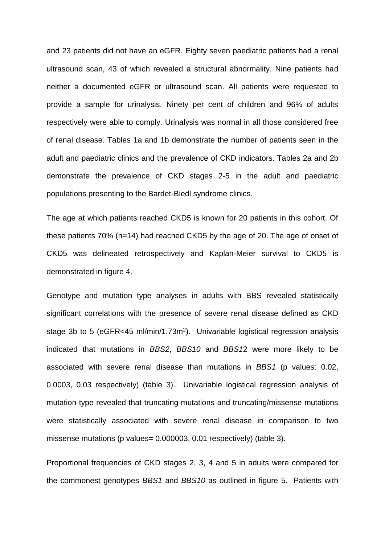and 23 patients did not have an eGFR. Eighty seven paediatric patients had a renal ultrasound scan, 43 of which revealed a structural abnormality. Nine patients had neither a documented eGFR or ultrasound scan. All patients were requested to provide a sample for urinalysis. Ninety per cent of children and 96% of adults respectively were able to comply. Urinalysis was normal in all those considered free of renal disease. Tables 1a and 1b demonstrate the number of patients seen in the adult and paediatric clinics and the prevalence of CKD indicators. Tables 2a and 2b demonstrate the prevalence of CKD stages 2-5 in the adult and paediatric populations presenting to the Bardet-Biedl syndrome clinics.

The age at which patients reached CKD5 is known for 20 patients in this cohort. Of these patients 70% (n=14) had reached CKD5 by the age of 20. The age of onset of CKD5 was delineated retrospectively and Kaplan-Meier survival to CKD5 is demonstrated in figure 4.

Genotype and mutation type analyses in adults with BBS revealed statistically significant correlations with the presence of severe renal disease defined as CKD stage 3b to 5 (eGFR<45 ml/min/1.73m<sup>2</sup>). Univariable logistical regression analysis indicated that mutations in *BBS2*, *BBS10* and *BBS1*2 were more likely to be associated with severe renal disease than mutations in *BBS1* (p values: 0.02, 0.0003, 0.03 respectively) (table 3). Univariable logistical regression analysis of mutation type revealed that truncating mutations and truncating/missense mutations were statistically associated with severe renal disease in comparison to two missense mutations (p values= 0.000003, 0.01 respectively) (table 3).

Proportional frequencies of CKD stages 2, 3, 4 and 5 in adults were compared for the commonest genotypes *BBS1* and *BBS10* as outlined in figure 5. Patients with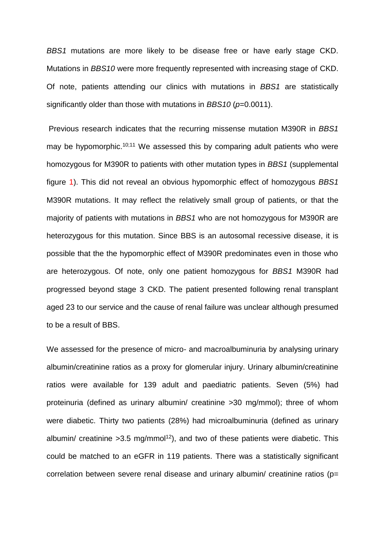*BBS1* mutations are more likely to be disease free or have early stage CKD. Mutations in *BBS10* were more frequently represented with increasing stage of CKD. Of note, patients attending our clinics with mutations in *BBS1* are statistically significantly older than those with mutations in *BBS10* (*p*=0.0011).

Previous research indicates that the recurring missense mutation M390R in *BBS1* may be hypomorphic.<sup>10;11</sup> We assessed this by comparing adult patients who were homozygous for M390R to patients with other mutation types in *BBS1* (supplemental figure 1). This did not reveal an obvious hypomorphic effect of homozygous *BBS1* M390R mutations. It may reflect the relatively small group of patients, or that the majority of patients with mutations in *BBS1* who are not homozygous for M390R are heterozygous for this mutation. Since BBS is an autosomal recessive disease, it is possible that the the hypomorphic effect of M390R predominates even in those who are heterozygous. Of note, only one patient homozygous for *BBS1* M390R had progressed beyond stage 3 CKD. The patient presented following renal transplant aged 23 to our service and the cause of renal failure was unclear although presumed to be a result of BBS.

We assessed for the presence of micro- and macroalbuminuria by analysing urinary albumin/creatinine ratios as a proxy for glomerular injury. Urinary albumin/creatinine ratios were available for 139 adult and paediatric patients. Seven (5%) had proteinuria (defined as urinary albumin/ creatinine >30 mg/mmol); three of whom were diabetic. Thirty two patients (28%) had microalbuminuria (defined as urinary albumin/ creatinine  $>3.5$  mg/mmol<sup>12</sup>), and two of these patients were diabetic. This could be matched to an eGFR in 119 patients. There was a statistically significant correlation between severe renal disease and urinary albumin/ creatinine ratios (p=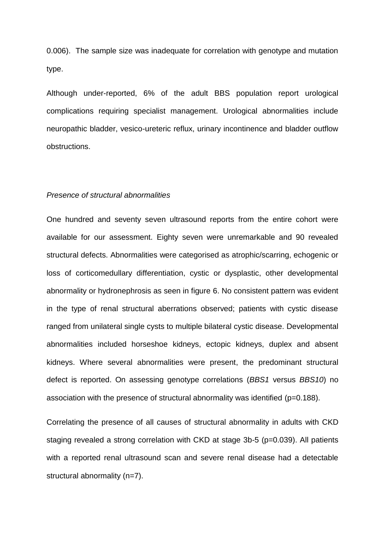0.006). The sample size was inadequate for correlation with genotype and mutation type.

Although under-reported, 6% of the adult BBS population report urological complications requiring specialist management. Urological abnormalities include neuropathic bladder, vesico-ureteric reflux, urinary incontinence and bladder outflow obstructions.

#### *Presence of structural abnormalities*

One hundred and seventy seven ultrasound reports from the entire cohort were available for our assessment. Eighty seven were unremarkable and 90 revealed structural defects. Abnormalities were categorised as atrophic/scarring, echogenic or loss of corticomedullary differentiation, cystic or dysplastic, other developmental abnormality or hydronephrosis as seen in figure 6. No consistent pattern was evident in the type of renal structural aberrations observed; patients with cystic disease ranged from unilateral single cysts to multiple bilateral cystic disease. Developmental abnormalities included horseshoe kidneys, ectopic kidneys, duplex and absent kidneys. Where several abnormalities were present, the predominant structural defect is reported. On assessing genotype correlations (*BBS1* versus *BBS10*) no association with the presence of structural abnormality was identified (p=0.188).

Correlating the presence of all causes of structural abnormality in adults with CKD staging revealed a strong correlation with CKD at stage 3b-5 (p=0.039). All patients with a reported renal ultrasound scan and severe renal disease had a detectable structural abnormality (n=7).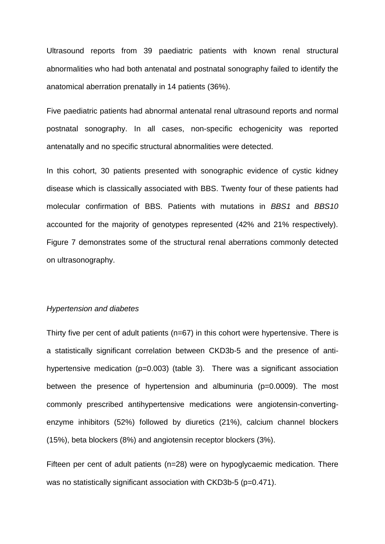Ultrasound reports from 39 paediatric patients with known renal structural abnormalities who had both antenatal and postnatal sonography failed to identify the anatomical aberration prenatally in 14 patients (36%).

Five paediatric patients had abnormal antenatal renal ultrasound reports and normal postnatal sonography. In all cases, non-specific echogenicity was reported antenatally and no specific structural abnormalities were detected.

In this cohort, 30 patients presented with sonographic evidence of cystic kidney disease which is classically associated with BBS. Twenty four of these patients had molecular confirmation of BBS. Patients with mutations in *BBS1* and *BBS10* accounted for the majority of genotypes represented (42% and 21% respectively). Figure 7 demonstrates some of the structural renal aberrations commonly detected on ultrasonography.

## *Hypertension and diabetes*

Thirty five per cent of adult patients (n=67) in this cohort were hypertensive. There is a statistically significant correlation between CKD3b-5 and the presence of antihypertensive medication (p=0.003) (table 3). There was a significant association between the presence of hypertension and albuminuria (p=0.0009). The most commonly prescribed antihypertensive medications were angiotensin-convertingenzyme inhibitors (52%) followed by diuretics (21%), calcium channel blockers (15%), beta blockers (8%) and angiotensin receptor blockers (3%).

Fifteen per cent of adult patients (n=28) were on hypoglycaemic medication. There was no statistically significant association with CKD3b-5 (p=0.471).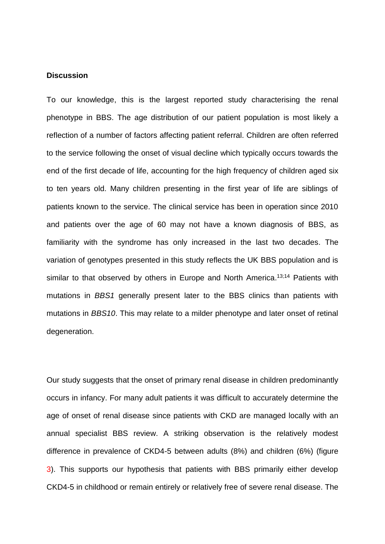## **Discussion**

To our knowledge, this is the largest reported study characterising the renal phenotype in BBS. The age distribution of our patient population is most likely a reflection of a number of factors affecting patient referral. Children are often referred to the service following the onset of visual decline which typically occurs towards the end of the first decade of life, accounting for the high frequency of children aged six to ten years old. Many children presenting in the first year of life are siblings of patients known to the service. The clinical service has been in operation since 2010 and patients over the age of 60 may not have a known diagnosis of BBS, as familiarity with the syndrome has only increased in the last two decades. The variation of genotypes presented in this study reflects the UK BBS population and is similar to that observed by others in Europe and North America.<sup>13;14</sup> Patients with mutations in *BBS1* generally present later to the BBS clinics than patients with mutations in *BBS10*. This may relate to a milder phenotype and later onset of retinal degeneration.

Our study suggests that the onset of primary renal disease in children predominantly occurs in infancy. For many adult patients it was difficult to accurately determine the age of onset of renal disease since patients with CKD are managed locally with an annual specialist BBS review. A striking observation is the relatively modest difference in prevalence of CKD4-5 between adults (8%) and children (6%) (figure 3). This supports our hypothesis that patients with BBS primarily either develop CKD4-5 in childhood or remain entirely or relatively free of severe renal disease. The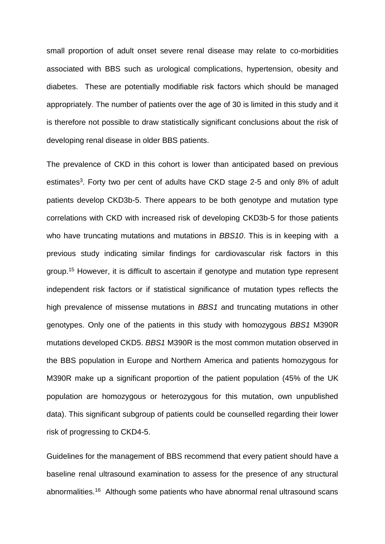small proportion of adult onset severe renal disease may relate to co-morbidities associated with BBS such as urological complications, hypertension, obesity and diabetes. These are potentially modifiable risk factors which should be managed appropriately. The number of patients over the age of 30 is limited in this study and it is therefore not possible to draw statistically significant conclusions about the risk of developing renal disease in older BBS patients.

The prevalence of CKD in this cohort is lower than anticipated based on previous estimates<sup>3</sup>. Forty two per cent of adults have CKD stage 2-5 and only 8% of adult patients develop CKD3b-5. There appears to be both genotype and mutation type correlations with CKD with increased risk of developing CKD3b-5 for those patients who have truncating mutations and mutations in *BBS10*. This is in keeping with a previous study indicating similar findings for cardiovascular risk factors in this group. <sup>15</sup> However, it is difficult to ascertain if genotype and mutation type represent independent risk factors or if statistical significance of mutation types reflects the high prevalence of missense mutations in *BBS1* and truncating mutations in other genotypes. Only one of the patients in this study with homozygous *BBS1* M390R mutations developed CKD5. *BBS1* M390R is the most common mutation observed in the BBS population in Europe and Northern America and patients homozygous for M390R make up a significant proportion of the patient population (45% of the UK population are homozygous or heterozygous for this mutation, own unpublished data). This significant subgroup of patients could be counselled regarding their lower risk of progressing to CKD4-5.

Guidelines for the management of BBS recommend that every patient should have a baseline renal ultrasound examination to assess for the presence of any structural abnormalities. <sup>16</sup> Although some patients who have abnormal renal ultrasound scans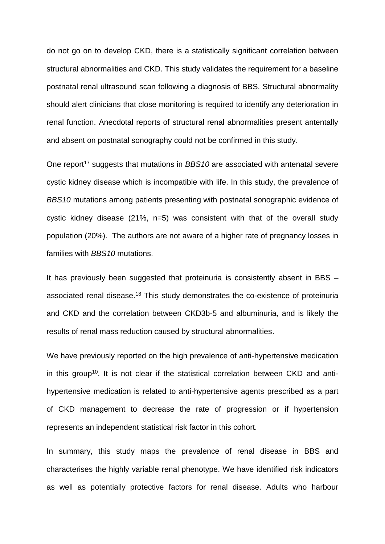do not go on to develop CKD, there is a statistically significant correlation between structural abnormalities and CKD. This study validates the requirement for a baseline postnatal renal ultrasound scan following a diagnosis of BBS. Structural abnormality should alert clinicians that close monitoring is required to identify any deterioration in renal function. Anecdotal reports of structural renal abnormalities present antentally and absent on postnatal sonography could not be confirmed in this study.

One report<sup>17</sup> suggests that mutations in *BBS10* are associated with antenatal severe cystic kidney disease which is incompatible with life. In this study, the prevalence of *BBS10* mutations among patients presenting with postnatal sonographic evidence of cystic kidney disease (21%, n=5) was consistent with that of the overall study population (20%). The authors are not aware of a higher rate of pregnancy losses in families with *BBS10* mutations.

It has previously been suggested that proteinuria is consistently absent in BBS – associated renal disease.<sup>18</sup> This study demonstrates the co-existence of proteinuria and CKD and the correlation between CKD3b-5 and albuminuria, and is likely the results of renal mass reduction caused by structural abnormalities.

We have previously reported on the high prevalence of anti-hypertensive medication in this group<sup>10</sup>. It is not clear if the statistical correlation between CKD and antihypertensive medication is related to anti-hypertensive agents prescribed as a part of CKD management to decrease the rate of progression or if hypertension represents an independent statistical risk factor in this cohort.

In summary, this study maps the prevalence of renal disease in BBS and characterises the highly variable renal phenotype. We have identified risk indicators as well as potentially protective factors for renal disease. Adults who harbour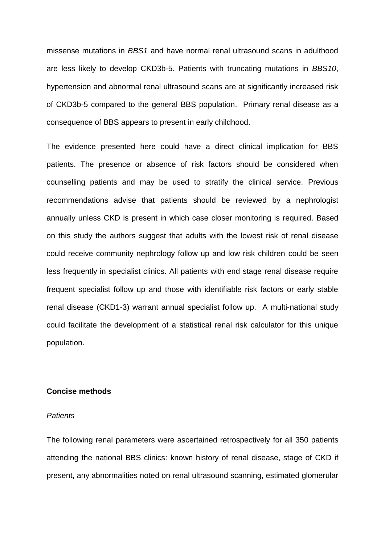missense mutations in *BBS1* and have normal renal ultrasound scans in adulthood are less likely to develop CKD3b-5. Patients with truncating mutations in *BBS10*, hypertension and abnormal renal ultrasound scans are at significantly increased risk of CKD3b-5 compared to the general BBS population. Primary renal disease as a consequence of BBS appears to present in early childhood.

The evidence presented here could have a direct clinical implication for BBS patients. The presence or absence of risk factors should be considered when counselling patients and may be used to stratify the clinical service. Previous recommendations advise that patients should be reviewed by a nephrologist annually unless CKD is present in which case closer monitoring is required. Based on this study the authors suggest that adults with the lowest risk of renal disease could receive community nephrology follow up and low risk children could be seen less frequently in specialist clinics. All patients with end stage renal disease require frequent specialist follow up and those with identifiable risk factors or early stable renal disease (CKD1-3) warrant annual specialist follow up. A multi-national study could facilitate the development of a statistical renal risk calculator for this unique population.

#### **Concise methods**

#### *Patients*

The following renal parameters were ascertained retrospectively for all 350 patients attending the national BBS clinics: known history of renal disease, stage of CKD if present, any abnormalities noted on renal ultrasound scanning, estimated glomerular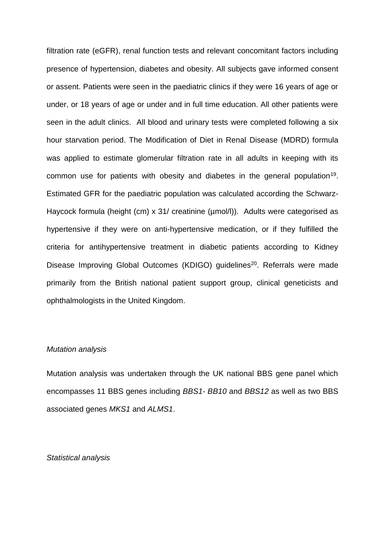filtration rate (eGFR), renal function tests and relevant concomitant factors including presence of hypertension, diabetes and obesity. All subjects gave informed consent or assent. Patients were seen in the paediatric clinics if they were 16 years of age or under, or 18 years of age or under and in full time education. All other patients were seen in the adult clinics. All blood and urinary tests were completed following a six hour starvation period. The Modification of Diet in Renal Disease (MDRD) formula was applied to estimate glomerular filtration rate in all adults in keeping with its common use for patients with obesity and diabetes in the general population<sup>19</sup>. Estimated GFR for the paediatric population was calculated according the Schwarz-Haycock formula (height (cm) x 31/ creatinine (umol/l)). Adults were categorised as hypertensive if they were on anti-hypertensive medication, or if they fulfilled the criteria for antihypertensive treatment in diabetic patients according to Kidney Disease Improving Global Outcomes (KDIGO) guidelines<sup>20</sup>. Referrals were made primarily from the British national patient support group, clinical geneticists and ophthalmologists in the United Kingdom.

#### *Mutation analysis*

Mutation analysis was undertaken through the UK national BBS gene panel which encompasses 11 BBS genes including *BBS1- BB10* and *BBS12* as well as two BBS associated genes *MKS1* and *ALMS1*.

### *Statistical analysis*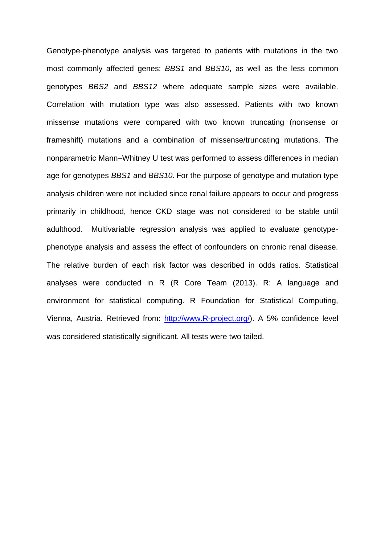Genotype-phenotype analysis was targeted to patients with mutations in the two most commonly affected genes: *BBS1* and *BBS10*, as well as the less common genotypes *BBS2* and *BBS12* where adequate sample sizes were available. Correlation with mutation type was also assessed. Patients with two known missense mutations were compared with two known truncating (nonsense or frameshift) mutations and a combination of missense/truncating mutations. The nonparametric Mann–Whitney U test was performed to assess differences in median age for genotypes *BBS1* and *BBS10*. For the purpose of genotype and mutation type analysis children were not included since renal failure appears to occur and progress primarily in childhood, hence CKD stage was not considered to be stable until adulthood. Multivariable regression analysis was applied to evaluate genotypephenotype analysis and assess the effect of confounders on chronic renal disease. The relative burden of each risk factor was described in odds ratios. Statistical analyses were conducted in R (R Core Team (2013). R: A language and environment for statistical computing. R Foundation for Statistical Computing, Vienna, Austria. Retrieved from: [http://www.R-project.org/\)](http://www.r-project.org/). A 5% confidence level was considered statistically significant. All tests were two tailed.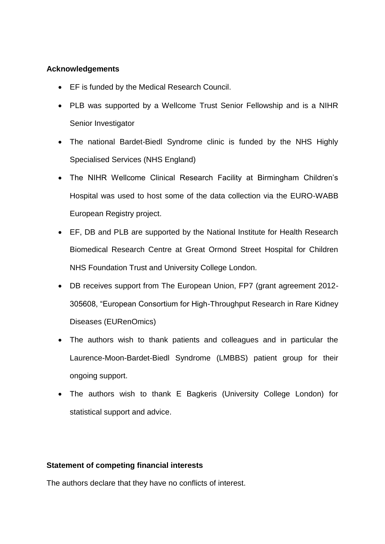## **Acknowledgements**

- EF is funded by the Medical Research Council.
- PLB was supported by a Wellcome Trust Senior Fellowship and is a NIHR Senior Investigator
- The national Bardet-Biedl Syndrome clinic is funded by the NHS Highly Specialised Services (NHS England)
- The NIHR Wellcome Clinical Research Facility at Birmingham Children's Hospital was used to host some of the data collection via the EURO-WABB European Registry project.
- EF, DB and PLB are supported by the National Institute for Health Research Biomedical Research Centre at Great Ormond Street Hospital for Children NHS Foundation Trust and University College London.
- DB receives support from The European Union, FP7 (grant agreement 2012- 305608, "European Consortium for High-Throughput Research in Rare Kidney Diseases (EURenOmics)
- The authors wish to thank patients and colleagues and in particular the Laurence-Moon-Bardet-Biedl Syndrome (LMBBS) patient group for their ongoing support.
- The authors wish to thank E Bagkeris (University College London) for statistical support and advice.

# **Statement of competing financial interests**

The authors declare that they have no conflicts of interest.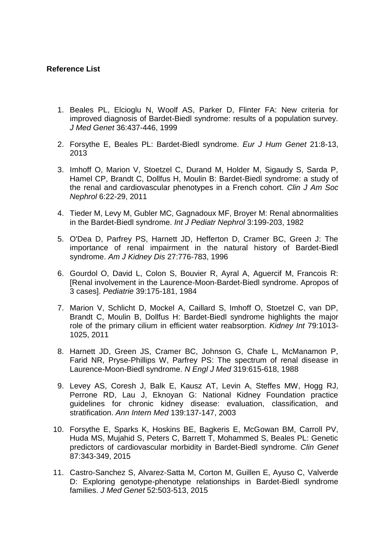## **Reference List**

- 1. Beales PL, Elcioglu N, Woolf AS, Parker D, Flinter FA: New criteria for improved diagnosis of Bardet-Biedl syndrome: results of a population survey. *J Med Genet* 36:437-446, 1999
- 2. Forsythe E, Beales PL: Bardet-Biedl syndrome. *Eur J Hum Genet* 21:8-13, 2013
- 3. Imhoff O, Marion V, Stoetzel C, Durand M, Holder M, Sigaudy S, Sarda P, Hamel CP, Brandt C, Dollfus H, Moulin B: Bardet-Biedl syndrome: a study of the renal and cardiovascular phenotypes in a French cohort. *Clin J Am Soc Nephrol* 6:22-29, 2011
- 4. Tieder M, Levy M, Gubler MC, Gagnadoux MF, Broyer M: Renal abnormalities in the Bardet-Biedl syndrome. *Int J Pediatr Nephrol* 3:199-203, 1982
- 5. O'Dea D, Parfrey PS, Harnett JD, Hefferton D, Cramer BC, Green J: The importance of renal impairment in the natural history of Bardet-Biedl syndrome. *Am J Kidney Dis* 27:776-783, 1996
- 6. Gourdol O, David L, Colon S, Bouvier R, Ayral A, Aguercif M, Francois R: [Renal involvement in the Laurence-Moon-Bardet-Biedl syndrome. Apropos of 3 cases]. *Pediatrie* 39:175-181, 1984
- 7. Marion V, Schlicht D, Mockel A, Caillard S, Imhoff O, Stoetzel C, van DP, Brandt C, Moulin B, Dollfus H: Bardet-Biedl syndrome highlights the major role of the primary cilium in efficient water reabsorption. *Kidney Int* 79:1013- 1025, 2011
- 8. Harnett JD, Green JS, Cramer BC, Johnson G, Chafe L, McManamon P, Farid NR, Pryse-Phillips W, Parfrey PS: The spectrum of renal disease in Laurence-Moon-Biedl syndrome. *N Engl J Med* 319:615-618, 1988
- 9. Levey AS, Coresh J, Balk E, Kausz AT, Levin A, Steffes MW, Hogg RJ, Perrone RD, Lau J, Eknoyan G: National Kidney Foundation practice guidelines for chronic kidney disease: evaluation, classification, and stratification. *Ann Intern Med* 139:137-147, 2003
- 10. Forsythe E, Sparks K, Hoskins BE, Bagkeris E, McGowan BM, Carroll PV, Huda MS, Mujahid S, Peters C, Barrett T, Mohammed S, Beales PL: Genetic predictors of cardiovascular morbidity in Bardet-Biedl syndrome. *Clin Genet* 87:343-349, 2015
- 11. Castro-Sanchez S, Alvarez-Satta M, Corton M, Guillen E, Ayuso C, Valverde D: Exploring genotype-phenotype relationships in Bardet-Biedl syndrome families. *J Med Genet* 52:503-513, 2015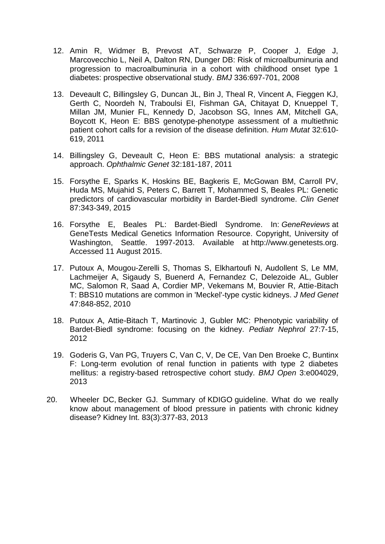- 12. Amin R, Widmer B, Prevost AT, Schwarze P, Cooper J, Edge J, Marcovecchio L, Neil A, Dalton RN, Dunger DB: Risk of microalbuminuria and progression to macroalbuminuria in a cohort with childhood onset type 1 diabetes: prospective observational study. *BMJ* 336:697-701, 2008
- 13. Deveault C, Billingsley G, Duncan JL, Bin J, Theal R, Vincent A, Fieggen KJ, Gerth C, Noordeh N, Traboulsi EI, Fishman GA, Chitayat D, Knueppel T, Millan JM, Munier FL, Kennedy D, Jacobson SG, Innes AM, Mitchell GA, Boycott K, Heon E: BBS genotype-phenotype assessment of a multiethnic patient cohort calls for a revision of the disease definition. *Hum Mutat* 32:610- 619, 2011
- 14. Billingsley G, Deveault C, Heon E: BBS mutational analysis: a strategic approach. *Ophthalmic Genet* 32:181-187, 2011
- 15. Forsythe E, Sparks K, Hoskins BE, Bagkeris E, McGowan BM, Carroll PV, Huda MS, Mujahid S, Peters C, Barrett T, Mohammed S, Beales PL: Genetic predictors of cardiovascular morbidity in Bardet-Biedl syndrome. *Clin Genet* 87:343-349, 2015
- 16. Forsythe E, Beales PL: Bardet-Biedl Syndrome. In: *GeneReviews* at GeneTests Medical Genetics Information Resource. Copyright, University of Washington, Seattle. 1997-2013. Available at http://www.genetests.org. Accessed 11 August 2015.
- 17. Putoux A, Mougou-Zerelli S, Thomas S, Elkhartoufi N, Audollent S, Le MM, Lachmeijer A, Sigaudy S, Buenerd A, Fernandez C, Delezoide AL, Gubler MC, Salomon R, Saad A, Cordier MP, Vekemans M, Bouvier R, Attie-Bitach T: BBS10 mutations are common in 'Meckel'-type cystic kidneys. *J Med Genet* 47:848-852, 2010
- 18. Putoux A, Attie-Bitach T, Martinovic J, Gubler MC: Phenotypic variability of Bardet-Biedl syndrome: focusing on the kidney. *Pediatr Nephrol* 27:7-15, 2012
- 19. Goderis G, Van PG, Truyers C, Van C, V, De CE, Van Den Broeke C, Buntinx F: Long-term evolution of renal function in patients with type 2 diabetes mellitus: a registry-based retrospective cohort study. *BMJ Open* 3:e004029, 2013
- 20. Wheeler DC, Becker GJ. Summary of KDIGO guideline. What do we really know about management of blood pressure in patients with chronic kidney disease? Kidney Int. 83(3):377-83, 2013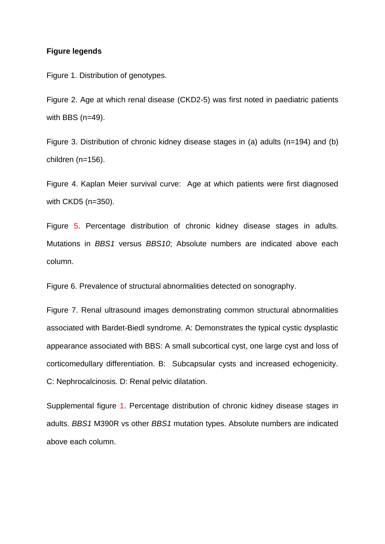## **Figure legends**

Figure 1. Distribution of genotypes.

Figure 2. Age at which renal disease (CKD2-5) was first noted in paediatric patients with BBS  $(n=49)$ .

Figure 3. Distribution of chronic kidney disease stages in (a) adults (n=194) and (b) children (n=156).

Figure 4. Kaplan Meier survival curve: Age at which patients were first diagnosed with CKD5 (n=350).

Figure 5. Percentage distribution of chronic kidney disease stages in adults. Mutations in *BBS1* versus *BBS10*; Absolute numbers are indicated above each column.

Figure 6. Prevalence of structural abnormalities detected on sonography.

Figure 7. Renal ultrasound images demonstrating common structural abnormalities associated with Bardet-Biedl syndrome. A: Demonstrates the typical cystic dysplastic appearance associated with BBS: A small subcortical cyst, one large cyst and loss of corticomedullary differentiation. B: Subcapsular cysts and increased echogenicity. C: Nephrocalcinosis. D: Renal pelvic dilatation.

Supplemental figure 1. Percentage distribution of chronic kidney disease stages in adults. *BBS1* M390R vs other *BBS1* mutation types. Absolute numbers are indicated above each column.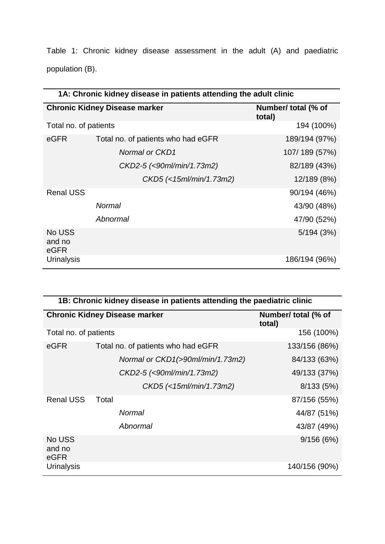Table 1: Chronic kidney disease assessment in the adult (A) and paediatric population (B).

| 1A: Chronic kidney disease in patients attending the adult clinic |                                      |                               |  |  |  |
|-------------------------------------------------------------------|--------------------------------------|-------------------------------|--|--|--|
|                                                                   | <b>Chronic Kidney Disease marker</b> | Number/ total (% of<br>total) |  |  |  |
| Total no. of patients                                             |                                      | 194 (100%)                    |  |  |  |
| eGFR                                                              | Total no. of patients who had eGFR   | 189/194 (97%)                 |  |  |  |
|                                                                   | Normal or CKD1                       | 107/189 (57%)                 |  |  |  |
|                                                                   | CKD2-5 (<90ml/min/1.73m2)            | 82/189 (43%)                  |  |  |  |
|                                                                   | CKD5 (<15ml/min/1.73m2)              | 12/189 (8%)                   |  |  |  |
| <b>Renal USS</b>                                                  |                                      | 90/194 (46%)                  |  |  |  |
|                                                                   | <b>Normal</b>                        | 43/90 (48%)                   |  |  |  |
|                                                                   | Abnormal                             | 47/90 (52%)                   |  |  |  |
| No USS<br>and no<br>eGFR                                          |                                      | 5/194(3%)                     |  |  |  |
| <b>Urinalysis</b>                                                 |                                      | 186/194 (96%)                 |  |  |  |

| 1B: Chronic kidney disease in patients attending the paediatric clinic |                                      |                               |  |  |  |
|------------------------------------------------------------------------|--------------------------------------|-------------------------------|--|--|--|
|                                                                        | <b>Chronic Kidney Disease marker</b> | Number/ total (% of<br>total) |  |  |  |
| Total no. of patients                                                  |                                      | 156 (100%)                    |  |  |  |
| eGFR                                                                   | Total no. of patients who had eGFR   | 133/156 (86%)                 |  |  |  |
|                                                                        | Normal or CKD1(>90ml/min/1.73m2)     | 84/133 (63%)                  |  |  |  |
|                                                                        | CKD2-5 (<90ml/min/1.73m2)            | 49/133 (37%)                  |  |  |  |
|                                                                        | CKD5 (<15ml/min/1.73m2)              | 8/133(5%)                     |  |  |  |
| <b>Renal USS</b>                                                       | Total                                | 87/156 (55%)                  |  |  |  |
|                                                                        | <b>Normal</b>                        | 44/87 (51%)                   |  |  |  |
|                                                                        | Abnormal                             | 43/87 (49%)                   |  |  |  |
| No USS<br>and no<br>eGFR                                               |                                      | 9/156(6%)                     |  |  |  |
| <b>Urinalysis</b>                                                      |                                      | 140/156 (90%)                 |  |  |  |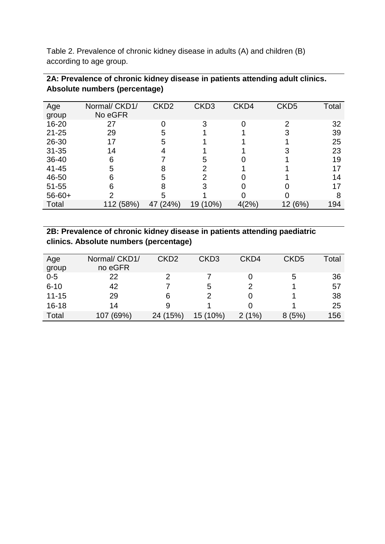Table 2. Prevalence of chronic kidney disease in adults (A) and children (B) according to age group.

| Age         | Normal/ CKD1/ | CKD <sub>2</sub> | CKD <sub>3</sub> | CKD4  | CKD <sub>5</sub> | Total |
|-------------|---------------|------------------|------------------|-------|------------------|-------|
| group       | No eGFR       |                  |                  |       |                  |       |
| $16 - 20$   | 27            |                  |                  |       | $\mathcal{D}$    | 32    |
| $21 - 25$   | 29            |                  |                  |       |                  | 39    |
| 26-30       | 17            |                  |                  |       |                  | 25    |
| $31 - 35$   | 14            |                  |                  |       |                  | 23    |
| 36-40       | 6             |                  | 5                |       |                  | 19    |
| 41-45       | 5             |                  |                  |       |                  | 17    |
| 46-50       | 6             |                  |                  |       |                  | 14    |
| 51-55       | 6             |                  |                  |       |                  |       |
| $56 - 60 +$ | っ             | 5                |                  |       |                  | 8     |
| Total       | 112 (58%)     | (24%)<br>47      | 19 (10%)         | 4(2%) | 12 (6%)          | 194   |

# **2A: Prevalence of chronic kidney disease in patients attending adult clinics. Absolute numbers (percentage)**

# **2B: Prevalence of chronic kidney disease in patients attending paediatric clinics. Absolute numbers (percentage)**

| Age<br>group | Normal/ CKD1/<br>no eGFR | CKD <sub>2</sub> | CKD <sub>3</sub> | CKD4  | CKD <sub>5</sub> | Total |
|--------------|--------------------------|------------------|------------------|-------|------------------|-------|
| $0-5$        | 22                       |                  |                  |       | 5                | 36    |
|              |                          |                  |                  |       |                  |       |
| $6 - 10$     | 42                       |                  | 5                |       |                  | 57    |
| $11 - 15$    | 29                       | 6                |                  |       |                  | 38    |
| $16 - 18$    | 14                       | 9                |                  |       |                  | 25    |
| Total        | 107 (69%)                | 24 (15%)         | 15 (10%)         | 2(1%) | 8(5%)            | 156   |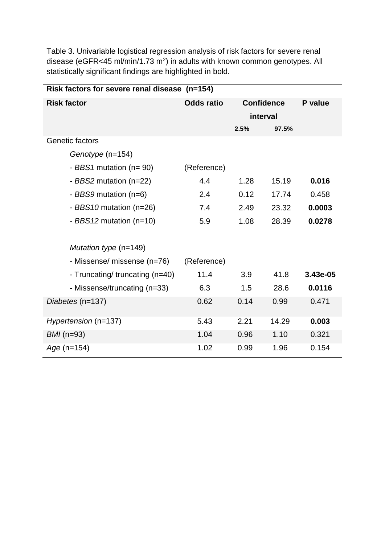Table 3. Univariable logistical regression analysis of risk factors for severe renal disease (eGFR<45 ml/min/1.73 m<sup>2</sup>) in adults with known common genotypes. All statistically significant findings are highlighted in bold.

| Risk factors for severe renal disease (n=154) |                   |                   |       |          |  |  |
|-----------------------------------------------|-------------------|-------------------|-------|----------|--|--|
| <b>Risk factor</b>                            | <b>Odds ratio</b> | <b>Confidence</b> |       | P value  |  |  |
|                                               |                   | interval          |       |          |  |  |
|                                               |                   | 2.5%              | 97.5% |          |  |  |
| Genetic factors                               |                   |                   |       |          |  |  |
| Genotype (n=154)                              |                   |                   |       |          |  |  |
| - BBS1 mutation ( $n = 90$ )                  | (Reference)       |                   |       |          |  |  |
| - BBS2 mutation (n=22)                        | 4.4               | 1.28              | 15.19 | 0.016    |  |  |
| - BBS9 mutation (n=6)                         | 2.4               | 0.12              | 17.74 | 0.458    |  |  |
| - BBS10 mutation (n=26)                       | 7.4               | 2.49              | 23.32 | 0.0003   |  |  |
| - BBS12 mutation (n=10)                       | 5.9               | 1.08              | 28.39 | 0.0278   |  |  |
|                                               |                   |                   |       |          |  |  |
| Mutation type $(n=149)$                       |                   |                   |       |          |  |  |
| - Missense/ missense (n=76)                   | (Reference)       |                   |       |          |  |  |
| - Truncating/ truncating (n=40)               | 11.4              | 3.9               | 41.8  | 3.43e-05 |  |  |
| - Missense/truncating (n=33)                  | 6.3               | 1.5               | 28.6  | 0.0116   |  |  |
| Diabetes (n=137)                              | 0.62              | 0.14              | 0.99  | 0.471    |  |  |
|                                               |                   |                   |       |          |  |  |
| Hypertension (n=137)                          | 5.43              | 2.21              | 14.29 | 0.003    |  |  |
| $BMI$ (n=93)                                  | 1.04              | 0.96              | 1.10  | 0.321    |  |  |
| $Age (n=154)$                                 | 1.02              | 0.99              | 1.96  | 0.154    |  |  |